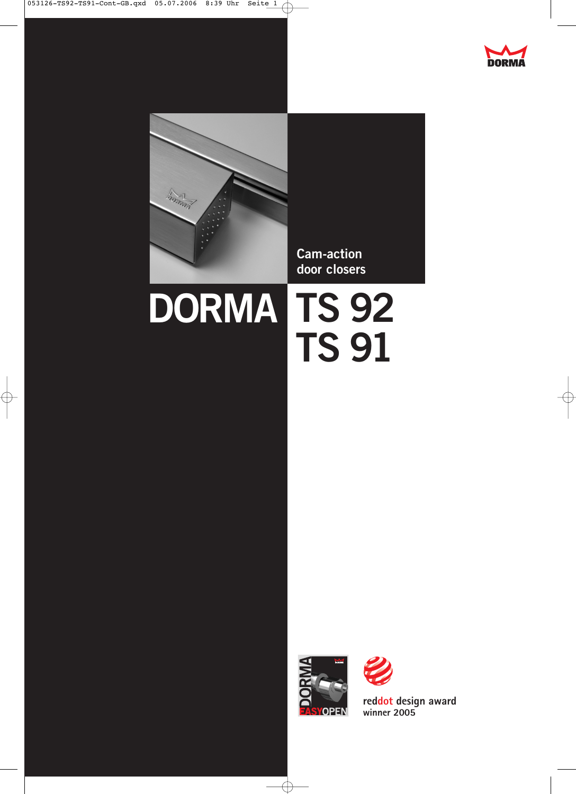



053126-TS92-TS91-Cont-GB.qxd 05.07.2006 8:39 Uhr Seite 1

 $\phi$ 

**Cam-action door closers**

# **TS 92 DORMA TS 91**



 $\oplus$ 

**reddot design award winner 2005**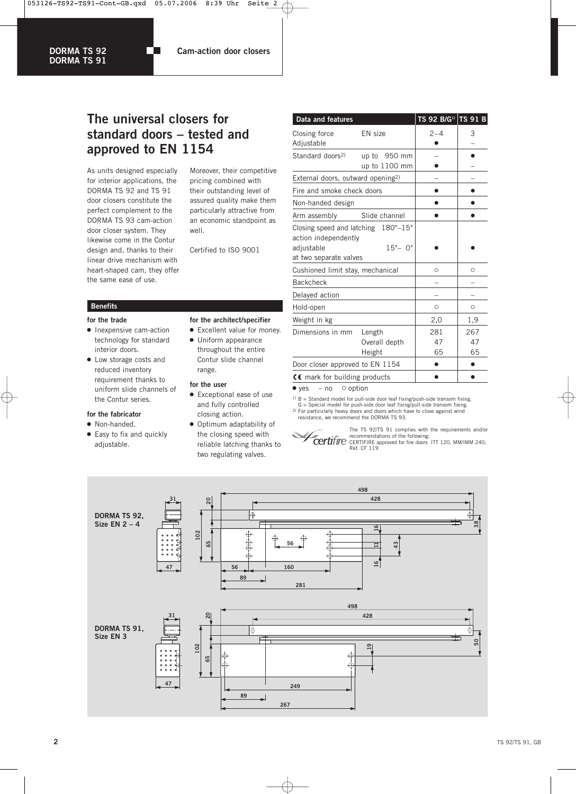053126-TS92-TS91-Cont-GB.qxd 05.07.2006 8:39 Uhr Seite 2

m.

#### **DORMA TS 92 DORMA TS 91**

**Cam-action door closers**

# **The universal closers for standard doors – tested and approved to EN 1154**

As units designed especially for interior applications, the DORMA TS 92 and TS 91 door closers constitute the perfect complement to the DORMA TS 93 cam-action door closer system. They likewise come in the Contur design and, thanks to their linear drive mechanism with heart-shaped cam, they offer the same ease of use.

Moreover, their competitive pricing combined with their outstanding level of assured quality make them particularly attractive from an economic standpoint as well.

Certified to ISO 9001

#### **Benefits**

#### **for the trade**

- Inexpensive cam-action technology for standard interior doors.
- Low storage costs and reduced inventory requirement thanks to uniform slide channels of the Contur series.

#### **for the fabricator**

• Non-handed. • Easy to fix and quickly adjustable.

| for the architect/specifier |  |
|-----------------------------|--|
|-----------------------------|--|

- Excellent value for money. • Uniform appearance
- throughout the entire Contur slide channel range.

#### **for the user**

- Exceptional ease of use and fully controlled closing action.
- Optimum adaptability of the closing speed with reliable latching thanks to two regulating valves.

| Data and features                                                                                   |                                   | TS 92 B/G <sup>1)</sup> TS 91 B |                 |
|-----------------------------------------------------------------------------------------------------|-----------------------------------|---------------------------------|-----------------|
| Closing force<br>Adjustable                                                                         | EN size                           | $2 - 4$                         | 3               |
| Standard doors <sup>2)</sup>                                                                        | up to 950 mm<br>up to 1100 mm     |                                 |                 |
| External doors, outward opening <sup>2)</sup>                                                       |                                   |                                 |                 |
| Fire and smoke check doors                                                                          |                                   |                                 |                 |
| Non-handed design                                                                                   |                                   |                                 |                 |
| Arm assembly                                                                                        | Slide channel                     |                                 |                 |
| Closing speed and latching 180°-15°<br>action independently<br>adjustable<br>at two separate valves | $15^\circ - 0^\circ$              |                                 |                 |
| Cushioned limit stay, mechanical                                                                    | $\circ$                           | O                               |                 |
| <b>Backcheck</b>                                                                                    |                                   |                                 |                 |
| Delayed action                                                                                      |                                   |                                 |                 |
| Hold-open                                                                                           |                                   | $\circ$                         | O               |
| Weight in kg                                                                                        |                                   | 2,0                             | 1,9             |
| Dimensions in mm                                                                                    | Length<br>Overall depth<br>Height | 281<br>47<br>65                 | 267<br>47<br>65 |
| Door closer approved to EN 1154                                                                     |                                   |                                 |                 |
| CC mark for building products                                                                       |                                   |                                 |                 |

 $\bullet$  yes – no  $\circ$  option

1) B = Standard model for pull-side door leaf fixing/push-side transom fixing. G = Special model for push-side door leaf fixing/pull-side transom fixing. <sup>2)</sup> For particularly heavy doors and doors which have to close against wind

resistance, we recommend the DORMA TS 93.

The TS 92/TS 91 complies with the requirements and/or recommendations of the following: CERTIFIRE approved for fire doors ITT 120, MM/IMM 240; Ref. CF 119

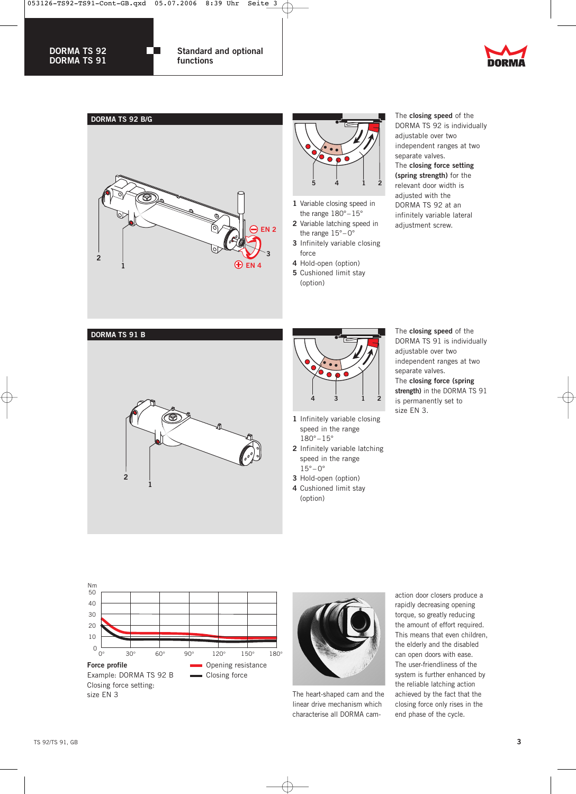

m.

**DORMA TS 92 DORMA TS 91**

**Standard and optional functions**







- **1** Variable closing speed in the range 180°–15°
- **2** Variable latching speed in the range 15°– 0°
- **3** Infinitely variable closing force
- **4** Hold-open (option) **5** Cushioned limit stay
- (option)

The **closing speed** of the DORMA TS 92 is individually adjustable over two independent ranges at two separate valves. The **closing force setting (spring strength)** for the relevant door width is adjusted with the DORMA TS 92 at an infinitely variable lateral adjustment screw.

**DORMA TS 91 B**





- **1** Infinitely variable closing speed in the range  $180^{\circ} - 15^{\circ}$
- **2** Infinitely variable latching speed in the range  $15^{\circ} - 0^{\circ}$
- **3** Hold-open (option)
- **4** Cushioned limit stay (option)

The **closing speed** of the DORMA TS 91 is individually adjustable over two independent ranges at two separate valves. The **closing force (spring strength)** in the DORMA TS 91 is permanently set to size EN 3.





The heart-shaped cam and the linear drive mechanism which characterise all DORMA camaction door closers produce a rapidly decreasing opening torque, so greatly reducing the amount of effort required. This means that even children, the elderly and the disabled can open doors with ease. The user-friendliness of the system is further enhanced by the reliable latching action achieved by the fact that the closing force only rises in the end phase of the cycle.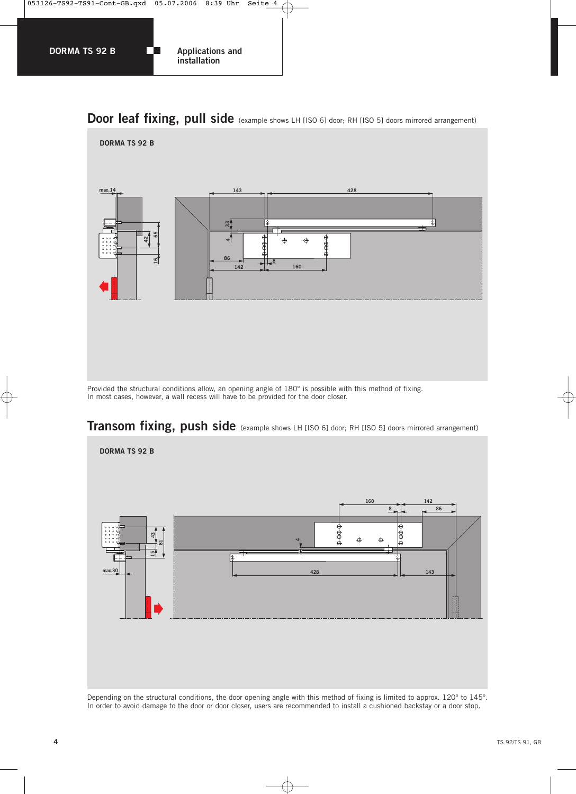

# **Door leaf fixing, pull side** (example shows LH [ISO 6] door; RH [ISO 5] doors mirrored arrangement)



Provided the structural conditions allow, an opening angle of 180° is possible with this method of fixing. In most cases, however, a wall recess will have to be provided for the door closer.



# **Transom fixing, push side** (example shows LH [ISO 6] door; RH [ISO 5] doors mirrored arrangement)

Depending on the structural conditions, the door opening angle with this method of fixing is limited to approx. 120° to 145°. In order to avoid damage to the door or door closer, users are recommended to install a cushioned backstay or a door stop.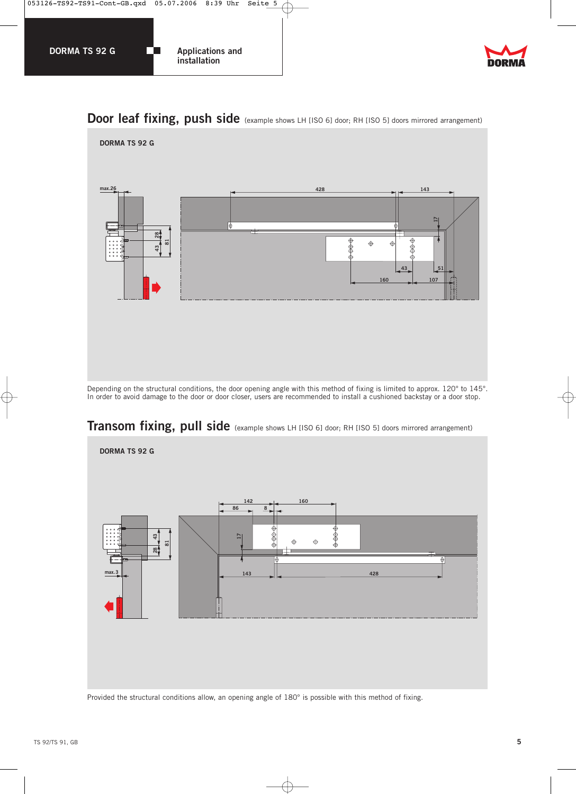



# **Door leaf fixing, push side** (example shows LH [ISO 6] door; RH [ISO 5] doors mirrored arrangement)



Depending on the structural conditions, the door opening angle with this method of fixing is limited to approx. 120° to 145°. In order to avoid damage to the door or door closer, users are recommended to install a cushioned backstay or a door stop.

# **Transom fixing, pull side** (example shows LH [ISO 6] door; RH [ISO 5] doors mirrored arrangement)



Provided the structural conditions allow, an opening angle of 180° is possible with this method of fixing.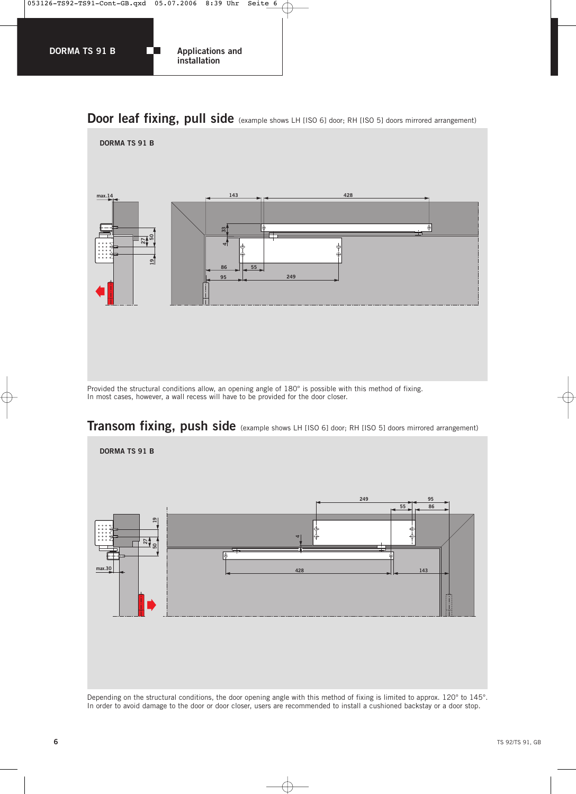

# **Door leaf fixing, pull side** (example shows LH [ISO 6] door; RH [ISO 5] doors mirrored arrangement)



Provided the structural conditions allow, an opening angle of 180° is possible with this method of fixing. In most cases, however, a wall recess will have to be provided for the door closer.



# **Transom fixing, push side** (example shows LH [ISO 6] door; RH [ISO 5] doors mirrored arrangement)

Depending on the structural conditions, the door opening angle with this method of fixing is limited to approx. 120° to 145°. In order to avoid damage to the door or door closer, users are recommended to install a cushioned backstay or a door stop.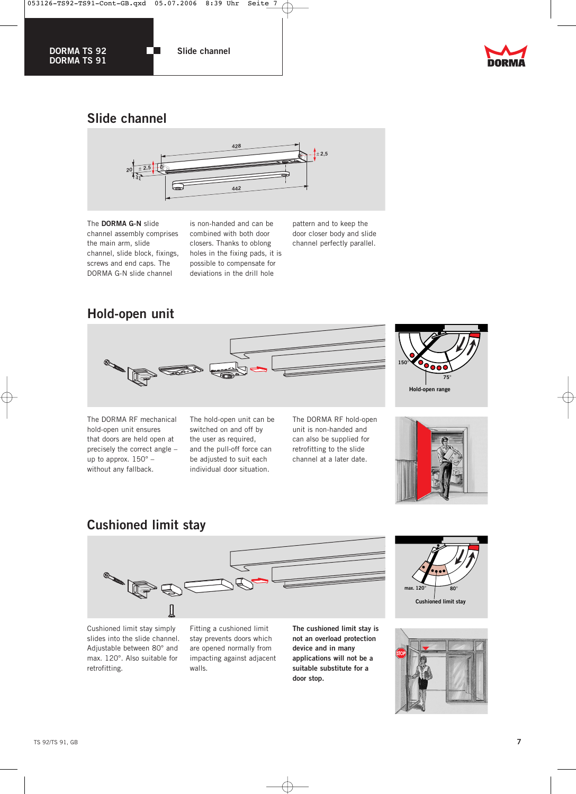

**The State** 

**DORMA TS 92 DORMA TS 91**

**Slide channel**



# **Slide channel**



The **DORMA G-N** slide channel assembly comprises the main arm, slide channel, slide block, fixings, screws and end caps. The DORMA G-N slide channel

is non-handed and can be combined with both door closers. Thanks to oblong holes in the fixing pads, it is possible to compensate for deviations in the drill hole

pattern and to keep the door closer body and slide channel perfectly parallel.

# **Hold-open unit**



The DORMA RF mechanical hold-open unit ensures that doors are held open at precisely the correct angle – up to approx. 150° – without any fallback.

The hold-open unit can be switched on and off by the user as required, and the pull-off force can be adjusted to suit each individual door situation.

The DORMA RF hold-open unit is non-handed and can also be supplied for retrofitting to the slide channel at a later date.





# **Cushioned limit stay**



Cushioned limit stay simply slides into the slide channel. Adjustable between 80° and max. 120°. Also suitable for retrofitting.

Fitting a cushioned limit stay prevents doors which are opened normally from impacting against adjacent walls.

**The cushioned limit stay is not an overload protection device and in many applications will not be a suitable substitute for a door stop.**



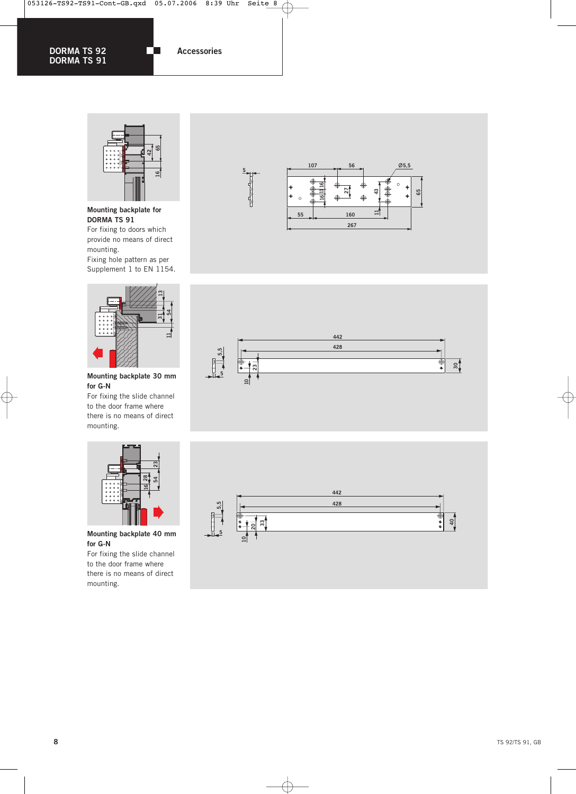m

**DORMA TS 92 DORMA TS 91** **Accessories**



**Mounting backplate for DORMA TS 91** For fixing to doors which provide no means of direct mounting.

Fixing hole pattern as per Supplement 1 to EN 1154.



**Mounting backplate 30 mm for G-N**

For fixing the slide channel to the door frame where there is no means of direct mounting.







#### **Mounting backplate 40 mm for G-N**

For fixing the slide channel to the door frame where there is no means of direct mounting.



€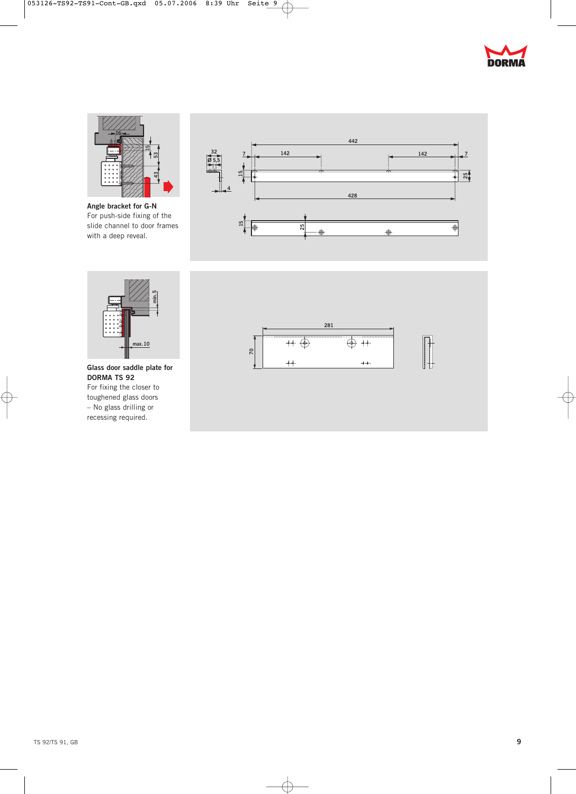



**Angle bracket for G-N** For push-side fixing of the slide channel to door frames with a deep reveal.





**Glass door saddle plate for DORMA TS 92** For fixing the closer to toughened glass doors – No glass drilling or recessing required.



 $\overline{\bigoplus}$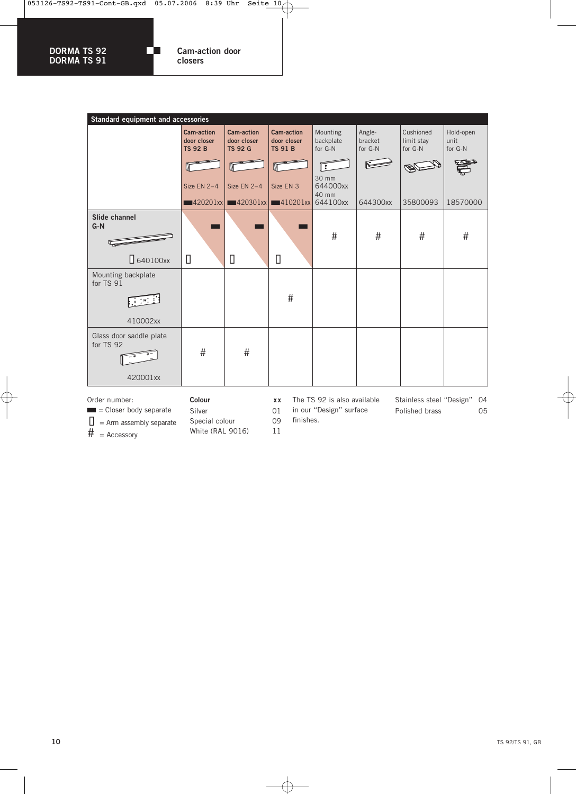Гn

**DORMA TS 92 DORMA TS 91** **Cam-action door closers**

| Standard equipment and accessories               |                                                    |                                                                        |                                                    |                                  |                              |                                    |                              |
|--------------------------------------------------|----------------------------------------------------|------------------------------------------------------------------------|----------------------------------------------------|----------------------------------|------------------------------|------------------------------------|------------------------------|
|                                                  | <b>Cam-action</b><br>door closer<br><b>TS 92 B</b> | <b>Cam-action</b><br>door closer<br><b>TS 92 G</b>                     | <b>Cam-action</b><br>door closer<br><b>TS 91 B</b> | Mounting<br>backplate<br>for G-N | Angle-<br>bracket<br>for G-N | Cushioned<br>limit stay<br>for G-N | Hold-open<br>unit<br>for G-N |
|                                                  | Size EN 2-4                                        | Size EN 2-4                                                            | Size EN 3                                          | း<br>30 mm<br>644000xx<br>40 mm  |                              |                                    |                              |
|                                                  |                                                    | $\blacksquare$ 420201xx $\blacksquare$ 420301xx $\blacksquare$ 10201xx |                                                    | 644100xx                         | 644300xx                     | 35800093                           | 18570000                     |
| Slide channel<br>$G-N$<br>$\Box$ 640100xx        | П                                                  | П                                                                      | П                                                  | #                                | #                            | #                                  | #                            |
| Mounting backplate<br>for TS 91<br>410002xx      |                                                    |                                                                        | #                                                  |                                  |                              |                                    |                              |
| Glass door saddle plate<br>for TS 92<br>420001xx | #                                                  | #                                                                      |                                                    |                                  |                              |                                    |                              |

Order number:

- $\blacksquare$  = Closer body separate
- $\Box$  = Arm assembly separate
- $\frac{1}{H}$  = Accessory

**Colour xx**

Silver 01

The TS 92 is also available

in our "Design" surface finishes.

Stainless steel "Design" 04 Polished brass 05

Special colour 09 White (RAL 9016) 11

€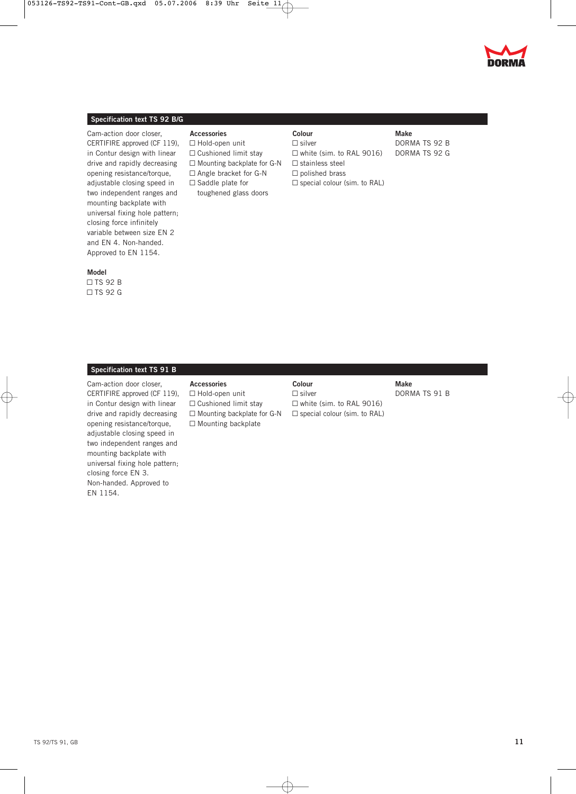



#### **Specification text TS 92 B/G**

Cam-action door closer, CERTIFIRE approved (CF 119), in Contur design with linear drive and rapidly decreasing opening resistance/torque, adjustable closing speed in two independent ranges and mounting backplate with universal fixing hole pattern; closing force infinitely variable between size EN 2 and EN 4. Non-handed. Approved to EN 1154.

#### **Model**

 $\Box$  TS 92 B  $\Box$  TS 92 G

#### **Accessories**

- $\Box$  Hold-open unit  $\Box$  Cushioned limit stay  $\square$  Mounting backplate for G-N
- $\Box$  Angle bracket for G-N
- $\Box$  Saddle plate for
- toughened glass doors

| Colour |               |  |  |  |
|--------|---------------|--|--|--|
|        | $\Box$ silver |  |  |  |

 $\Box$  white (sim. to RAL 9016)  $\square$  stainless steel  $\Box$  polished brass  $\Box$  special colour (sim. to RAL)

#### **Make** DORMA TS 92 B

DORMA TS 92 G

#### **Specification text TS 91 B**

Cam-action door closer, CERTIFIRE approved (CF 119), in Contur design with linear drive and rapidly decreasing opening resistance/torque, adjustable closing speed in two independent ranges and mounting backplate with universal fixing hole pattern; closing force EN 3. Non-handed. Approved to EN 1154.

#### **Accessories**

 $\Box$  Hold-open unit  $\Box$  Cushioned limit stay  $\Box$  Mounting backplate for G-N  $\Box$  Mounting backplate

### **Colour**

 $\square$  silver  $\Box$  white (sim. to RAL 9016)  $\Box$  special colour (sim. to RAL) **Make** DORMA TS 91 B